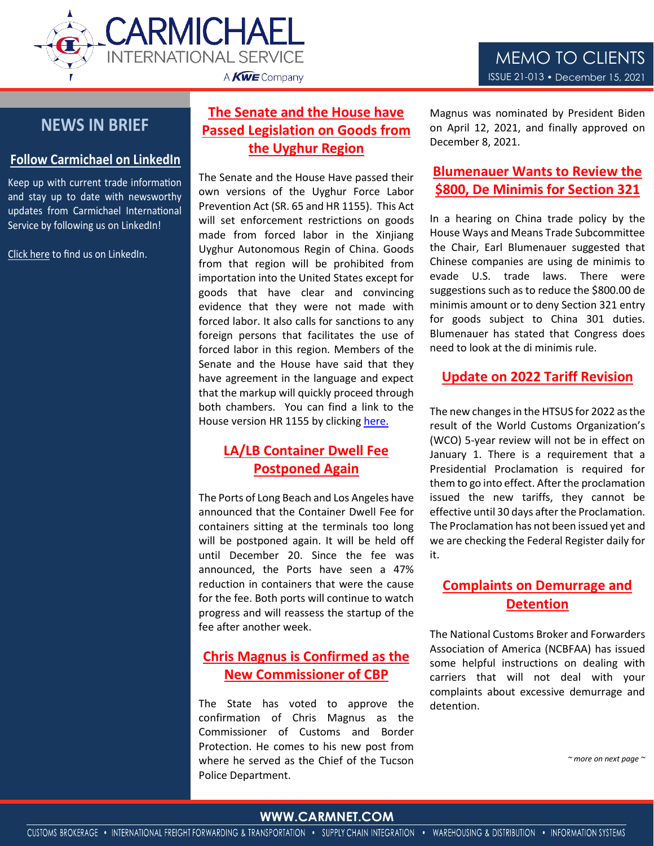



# **NEWS IN BRIEF**

#### **Follow Carmichael on LinkedIn**

Keep up with current trade information and stay up to date with newsworthy updates from Carmichael International Service by following us on LinkedIn!

[Click here](https://www.linkedin.com/company/carmichael-international-service/) to find us on LinkedIn.

# **The Senate and the House have Passed Legislation on Goods from the Uyghur Region**

The Senate and the House Have passed their own versions of the Uyghur Force Labor Prevention Act (SR. 65 and HR 1155). This Act will set enforcement restrictions on goods made from forced labor in the Xinjiang Uyghur Autonomous Regin of China. Goods from that region will be prohibited from importation into the United States except for goods that have clear and convincing evidence that they were not made with forced labor. It also calls for sanctions to any foreign persons that facilitates the use of forced labor in this region. Members of the Senate and the House have said that they have agreement in the language and expect that the markup will quickly proceed through both chambers. You can find a link to the House version HR 1155 by clickin[g here.](https://www.congress.gov/bill/117th-congress/house-bill/1155/text?q=%7B%22search%22%3A%5B%22Uyghur+forced%22%2C%22Uyghur%22%2C%22forced%22%5D%7D&r=2&s=1)

## **LA/LB Container Dwell Fee Postponed Again**

The Ports of Long Beach and Los Angeles have announced that the Container Dwell Fee for containers sitting at the terminals too long will be postponed again. It will be held off until December 20. Since the fee was announced, the Ports have seen a 47% reduction in containers that were the cause for the fee. Both ports will continue to watch progress and will reassess the startup of the fee after another week.

## **Chris Magnus is Confirmed as the New Commissioner of CBP**

The State has voted to approve the confirmation of Chris Magnus as the Commissioner of Customs and Border Protection. He comes to his new post from where he served as the Chief of the Tucson Police Department.

Magnus was nominated by President Biden on April 12, 2021, and finally approved on December 8, 2021.

#### **Blumenauer Wants to Review the \$800, De Minimis for Section 321**

In a hearing on China trade policy by the House Ways and Means Trade Subcommittee the Chair, Earl Blumenauer suggested that Chinese companies are using de minimis to evade U.S. trade laws. There were suggestions such as to reduce the \$800.00 de minimis amount or to deny Section 321 entry for goods subject to China 301 duties. Blumenauer has stated that Congress does need to look at the di minimis rule.

#### **Update on 2022 Tariff Revision**

The new changes in the HTSUS for 2022 as the result of the World Customs Organization's (WCO) 5-year review will not be in effect on January 1. There is a requirement that a Presidential Proclamation is required for them to go into effect. After the proclamation issued the new tariffs, they cannot be effective until 30 days after the Proclamation. The Proclamation has not been issued yet and we are checking the Federal Register daily for it.

## **Complaints on Demurrage and Detention**

The National Customs Broker and Forwarders Association of America (NCBFAA) has issued some helpful instructions on dealing with carriers that will not deal with your complaints about excessive demurrage and detention.

*~ more on next page ~*

#### WWW.CARMENT.COOM **WWW.CARMNET.COM**